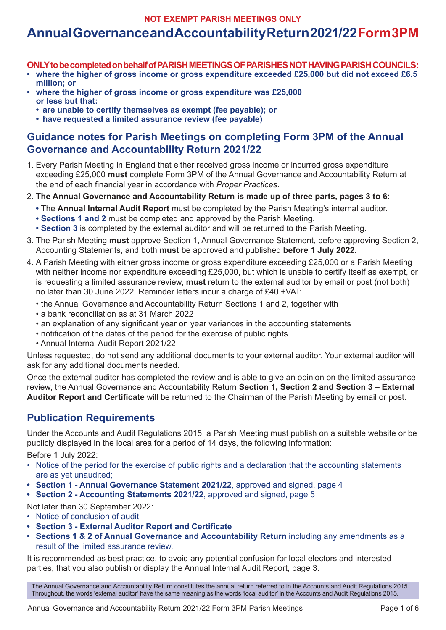**NOT EXEMPT PARISH MEETINGS ONLY**

# **Annual Governance and Accountability Return 2021/22 Form 3PM**

- **ONLY to be completed on behalf of PARISH MEETINGS OF PARISHES NOT HAVING PARISH COUNCILS:**
- **• where the higher of gross income or gross expenditure exceeded £25,000 but did not exceed £6.5 million; or**
- **• where the higher of gross income or gross expenditure was £25,000 or less but that:**
	- **• are unable to certify themselves as exempt (fee payable); or**
	- **• have requested a limited assurance review (fee payable)**

### **Guidance notes for Parish Meetings on completing Form 3PM of the Annual Governance and Accountability Return 2021/22**

- 1. Every Parish Meeting in England that either received gross income or incurred gross expenditure exceeding £25,000 **must** complete Form 3PM of the Annual Governance and Accountability Return at the end of each financial year in accordance with *Proper Practices*.
- 2. **The Annual Governance and Accountability Return is made up of three parts, pages 3 to 6:**
	- The **Annual Internal Audit Report** must be completed by the Parish Meeting's internal auditor.
	- **Sections 1 and 2** must be completed and approved by the Parish Meeting.
	- **Section 3** is completed by the external auditor and will be returned to the Parish Meeting.
- 3. The Parish Meeting **must** approve Section 1, Annual Governance Statement, before approving Section 2, Accounting Statements, and both **must** be approved and published **before 1 July 2022.**
- 4. A Parish Meeting with either gross income or gross expenditure exceeding £25,000 or a Parish Meeting with neither income nor expenditure exceeding £25,000, but which is unable to certify itself as exempt, or is requesting a limited assurance review, **must** return to the external auditor by email or post (not both) no later than 30 June 2022. Reminder letters incur a charge of £40 +VAT:
	- the Annual Governance and Accountability Return Sections 1 and 2, together with
	- a bank reconciliation as at 31 March 2022
	- an explanation of any significant year on year variances in the accounting statements
	- notification of the dates of the period for the exercise of public rights
	- Annual Internal Audit Report 2021/22

Unless requested, do not send any additional documents to your external auditor. Your external auditor will ask for any additional documents needed.

Once the external auditor has completed the review and is able to give an opinion on the limited assurance review, the Annual Governance and Accountability Return **Section 1, Section 2 and Section 3 – External Auditor Report and Certificate** will be returned to the Chairman of the Parish Meeting by email or post.

### **Publication Requirements**

Under the Accounts and Audit Regulations 2015, a Parish Meeting must publish on a suitable website or be publicly displayed in the local area for a period of 14 days, the following information: Before 1 July 2022:

- Notice of the period for the exercise of public rights and a declaration that the accounting statements are as yet unaudited;
- **• Section 1 Annual Governance Statement 2021/22**, approved and signed, page 4
- **• Section 2 Accounting Statements 2021/22**, approved and signed, page 5

Not later than 30 September 2022:

- Notice of conclusion of audit
- **• Section 3 External Auditor Report and Certificate**
- **• Sections 1 & 2 of Annual Governance and Accountability Return** including any amendments as a result of the limited assurance review.

It is recommended as best practice, to avoid any potential confusion for local electors and interested parties, that you also publish or display the Annual Internal Audit Report, page 3.

The Annual Governance and Accountability Return constitutes the annual return referred to in the Accounts and Audit Regulations 2015. Throughout, the words 'external auditor' have the same meaning as the words 'local auditor' in the Accounts and Audit Regulations 2015.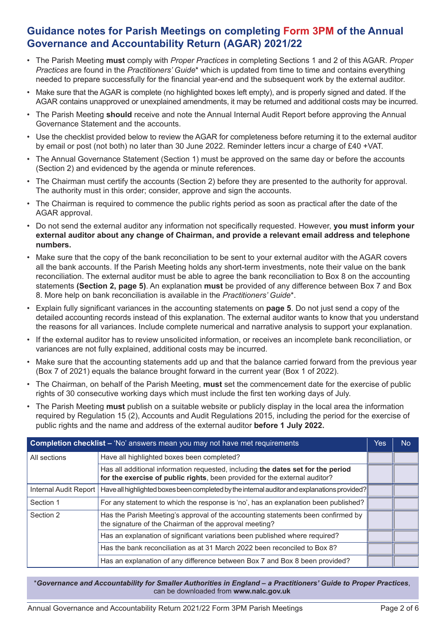### **Guidance notes for Parish Meetings on completing Form 3PM of the Annual Governance and Accountability Return (AGAR) 2021/22**

- The Parish Meeting **must** comply with *Proper Practices* in completing Sections 1 and 2 of this AGAR. *Proper Practices* are found in the *Practitioners' Guide*\* which is updated from time to time and contains everything needed to prepare successfully for the financial year-end and the subsequent work by the external auditor.
- Make sure that the AGAR is complete (no highlighted boxes left empty), and is properly signed and dated. If the AGAR contains unapproved or unexplained amendments, it may be returned and additional costs may be incurred.
- The Parish Meeting **should** receive and note the Annual Internal Audit Report before approving the Annual Governance Statement and the accounts.
- Use the checklist provided below to review the AGAR for completeness before returning it to the external auditor by email or post (not both) no later than 30 June 2022. Reminder letters incur a charge of £40 +VAT.
- The Annual Governance Statement (Section 1) must be approved on the same day or before the accounts (Section 2) and evidenced by the agenda or minute references.
- The Chairman must certify the accounts (Section 2) before they are presented to the authority for approval. The authority must in this order; consider, approve and sign the accounts.
- The Chairman is required to commence the public rights period as soon as practical after the date of the AGAR approval.
- Do not send the external auditor any information not specifically requested. However, **you must inform your external auditor about any change of Chairman, and provide a relevant email address and telephone numbers.**
- Make sure that the copy of the bank reconciliation to be sent to your external auditor with the AGAR covers all the bank accounts. If the Parish Meeting holds any short-term investments, note their value on the bank reconciliation. The external auditor must be able to agree the bank reconciliation to Box 8 on the accounting statements **(Section 2, page 5)**. An explanation **must** be provided of any difference between Box 7 and Box 8. More help on bank reconciliation is available in the *Practitioners' Guide*\*.
- Explain fully significant variances in the accounting statements on **page 5**. Do not just send a copy of the detailed accounting records instead of this explanation. The external auditor wants to know that you understand the reasons for all variances. Include complete numerical and narrative analysis to support your explanation.
- If the external auditor has to review unsolicited information, or receives an incomplete bank reconciliation, or variances are not fully explained, additional costs may be incurred.
- Make sure that the accounting statements add up and that the balance carried forward from the previous year (Box 7 of 2021) equals the balance brought forward in the current year (Box 1 of 2022).
- The Chairman, on behalf of the Parish Meeting, **must** set the commencement date for the exercise of public rights of 30 consecutive working days which must include the first ten working days of July.
- The Parish Meeting **must** publish on a suitable website or publicly display in the local area the information required by Regulation 15 (2), Accounts and Audit Regulations 2015, including the period for the exercise of public rights and the name and address of the external auditor **before 1 July 2022.**

| <b>Completion checklist – 'No' answers mean you may not have met requirements</b> |                                                                                                                                                                |  |  |  |
|-----------------------------------------------------------------------------------|----------------------------------------------------------------------------------------------------------------------------------------------------------------|--|--|--|
| All sections                                                                      | Have all highlighted boxes been completed?                                                                                                                     |  |  |  |
|                                                                                   | Has all additional information requested, including the dates set for the period<br>for the exercise of public rights, been provided for the external auditor? |  |  |  |
| Internal Audit Report                                                             | Have all highlighted boxes been completed by the internal auditor and explanations provided?                                                                   |  |  |  |
| Section 1                                                                         | For any statement to which the response is 'no', has an explanation been published?                                                                            |  |  |  |
| Section 2                                                                         | Has the Parish Meeting's approval of the accounting statements been confirmed by<br>the signature of the Chairman of the approval meeting?                     |  |  |  |
|                                                                                   | Has an explanation of significant variations been published where required?                                                                                    |  |  |  |
|                                                                                   | Has the bank reconciliation as at 31 March 2022 been reconciled to Box 8?                                                                                      |  |  |  |
|                                                                                   | Has an explanation of any difference between Box 7 and Box 8 been provided?                                                                                    |  |  |  |

\**Governance and Accountability for Smaller Authorities in England – a Practitioners' Guide to Proper Practices*, can be downloaded from **www.nalc.gov.uk**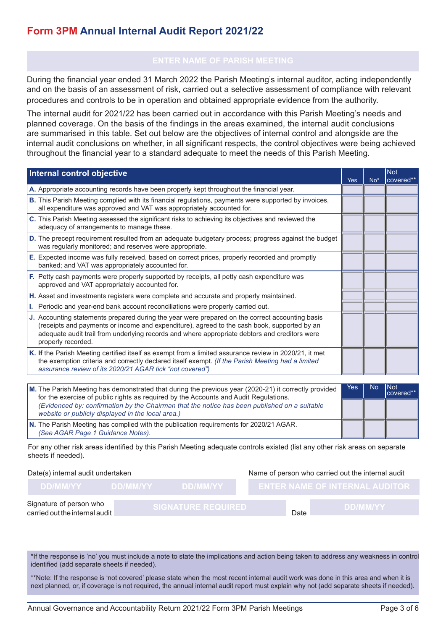### **Form 3PM Annual Internal Audit Report 2021/22**

During the financial year ended 31 March 2022 the Parish Meeting's internal auditor, acting independently and on the basis of an assessment of risk, carried out a selective assessment of compliance with relevant procedures and controls to be in operation and obtained appropriate evidence from the authority.

The internal audit for 2021/22 has been carried out in accordance with this Parish Meeting's needs and planned coverage. On the basis of the findings in the areas examined, the internal audit conclusions are summarised in this table. Set out below are the objectives of internal control and alongside are the internal audit conclusions on whether, in all significant respects, the control objectives were being achieved throughout the financial year to a standard adequate to meet the needs of this Parish Meeting.

| Internal control objective                                                                                                                                                                                                                                                                                            | Yes | $No*$     | <b>Not</b><br>covered** |
|-----------------------------------------------------------------------------------------------------------------------------------------------------------------------------------------------------------------------------------------------------------------------------------------------------------------------|-----|-----------|-------------------------|
| A. Appropriate accounting records have been properly kept throughout the financial year.                                                                                                                                                                                                                              |     |           |                         |
| <b>B.</b> This Parish Meeting complied with its financial regulations, payments were supported by invoices,<br>all expenditure was approved and VAT was appropriately accounted for.                                                                                                                                  |     |           |                         |
| C. This Parish Meeting assessed the significant risks to achieving its objectives and reviewed the<br>adequacy of arrangements to manage these.                                                                                                                                                                       |     |           |                         |
| D. The precept requirement resulted from an adequate budgetary process; progress against the budget<br>was regularly monitored; and reserves were appropriate.                                                                                                                                                        |     |           |                         |
| E. Expected income was fully received, based on correct prices, properly recorded and promptly<br>banked; and VAT was appropriately accounted for.                                                                                                                                                                    |     |           |                         |
| F. Petty cash payments were properly supported by receipts, all petty cash expenditure was<br>approved and VAT appropriately accounted for.                                                                                                                                                                           |     |           |                         |
| H. Asset and investments registers were complete and accurate and properly maintained.                                                                                                                                                                                                                                |     |           |                         |
| I. Periodic and year-end bank account reconciliations were properly carried out.                                                                                                                                                                                                                                      |     |           |                         |
| J. Accounting statements prepared during the year were prepared on the correct accounting basis<br>(receipts and payments or income and expenditure), agreed to the cash book, supported by an<br>adequate audit trail from underlying records and where appropriate debtors and creditors were<br>properly recorded. |     |           |                         |
| K. If the Parish Meeting certified itself as exempt from a limited assurance review in 2020/21, it met<br>the exemption criteria and correctly declared itself exempt. (If the Parish Meeting had a limited<br>assurance review of its 2020/21 AGAR tick "not covered")                                               |     |           |                         |
|                                                                                                                                                                                                                                                                                                                       |     |           |                         |
| M. The Parish Meeting has demonstrated that during the previous year (2020-21) it correctly provided<br>for the exercise of public rights as required by the Accounts and Audit Regulations.                                                                                                                          | Yes | <b>No</b> | <b>Not</b><br>covered** |
| (Evidenced by: confirmation by the Chairman that the notice has been published on a suitable<br>website or publicly displayed in the local area.)                                                                                                                                                                     |     |           |                         |
| N. The Derich Meeting has complied with the publication requirements for 2020/21 ACAD                                                                                                                                                                                                                                 |     |           |                         |

**N.** The Parish Meeting has complied with the publication requirements for 2020/21 AGAR. *(See AGAR Page 1 Guidance Notes).*

For any other risk areas identified by this Parish Meeting adequate controls existed (list any other risk areas on separate sheets if needed).

Date(s) internal audit undertaken Name of person who carried out the internal audit

| <b>DD/MM/YY</b>                                           | DD/MM/YY | <b>NDDAMMYY</b>           |             | <b>ENTER NAME OF INTERNAL AUDITOR</b> |
|-----------------------------------------------------------|----------|---------------------------|-------------|---------------------------------------|
| Signature of person who<br>carried out the internal audit |          | <b>SIGNATURE REQUIRED</b> | <b>Date</b> | <b>DD/MM/YY</b>                       |

\*If the response is 'no' you must include a note to state the implications and action being taken to address any weakness in control identified (add separate sheets if needed).

\*\*Note: If the response is 'not covered' please state when the most recent internal audit work was done in this area and when it is next planned, or, if coverage is not required, the annual internal audit report must explain why not (add separate sheets if needed).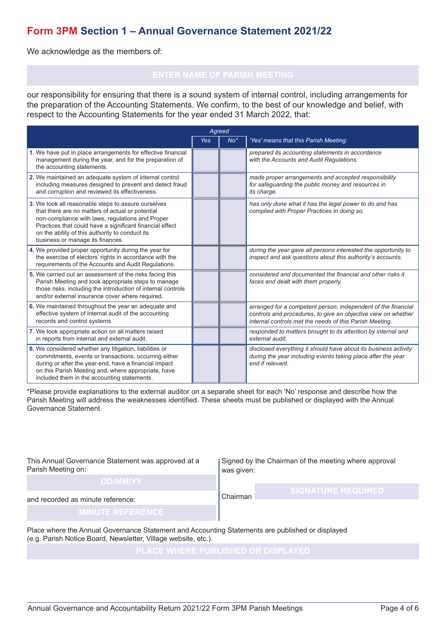### **Form 3PM Section 1 – Annual Governance Statement 2021/22**

We acknowledge as the members of:

our responsibility for ensuring that there is a sound system of internal control, including arrangements for the preparation of the Accounting Statements. We confirm, to the best of our knowledge and belief, with respect to the Accounting Statements for the year ended 31 March 2022, that:

| Agreed                                                                                                                                                                                                                                                                                                         |            |       |                                                                                                                                                                                           |  |  |  |
|----------------------------------------------------------------------------------------------------------------------------------------------------------------------------------------------------------------------------------------------------------------------------------------------------------------|------------|-------|-------------------------------------------------------------------------------------------------------------------------------------------------------------------------------------------|--|--|--|
|                                                                                                                                                                                                                                                                                                                | <b>Yes</b> | $No*$ | 'Yes' means that this Parish Meeting:                                                                                                                                                     |  |  |  |
| 1. We have put in place arrangements for effective financial<br>management during the year, and for the preparation of<br>the accounting statements.                                                                                                                                                           |            |       | prepared its accounting statements in accordance<br>with the Accounts and Audit Regulations.                                                                                              |  |  |  |
| 2. We maintained an adequate system of internal control<br>including measures designed to prevent and detect fraud<br>and corruption and reviewed its effectiveness.                                                                                                                                           |            |       | made proper arrangements and accepted responsibility<br>for safeguarding the public money and resources in<br>its charge.                                                                 |  |  |  |
| 3. We took all reasonable steps to assure ourselves<br>that there are no matters of actual or potential<br>non-compliance with laws, regulations and Proper<br>Practices that could have a significant financial effect<br>on the ability of this authority to conduct its<br>business or manage its finances. |            |       | has only done what it has the legal power to do and has<br>complied with Proper Practices in doing so.                                                                                    |  |  |  |
| 4. We provided proper opportunity during the year for<br>the exercise of electors' rights in accordance with the<br>requirements of the Accounts and Audit Regulations.                                                                                                                                        |            |       | during the year gave all persons interested the opportunity to<br>inspect and ask questions about this authority's accounts.                                                              |  |  |  |
| 5. We carried out an assessment of the risks facing this<br>Parish Meeting and took appropriate steps to manage<br>those risks, including the introduction of internal controls<br>and/or external insurance cover where required.                                                                             |            |       | considered and documented the financial and other risks it<br>faces and dealt with them properly.                                                                                         |  |  |  |
| 6. We maintained throughout the year an adequate and<br>effective system of internal audit of the accounting<br>records and control systems.                                                                                                                                                                   |            |       | arranged for a competent person, independent of the financial<br>controls and procedures, to give an objective view on whether<br>internal controls met the needs of this Parish Meeting. |  |  |  |
| 7. We took appropriate action on all matters raised<br>in reports from internal and external audit.                                                                                                                                                                                                            |            |       | responded to matters brought to its attention by internal and<br>external audit.                                                                                                          |  |  |  |
| 8. We considered whether any litigation, liabilities or<br>commitments, events or transactions, occurring either<br>during or after the year-end, have a financial impact<br>on this Parish Meeting and, where appropriate, have<br>included them in the accounting statements.                                |            |       | disclosed everything it should have about its business activity<br>during the year including events taking place after the year<br>end if relevant.                                       |  |  |  |

\*Please provide explanations to the external auditor on a separate sheet for each 'No' response and describe how the Parish Meeting will address the weaknesses identified. These sheets must be published or displayed with the Annual Governance Statement.

This Annual Governance Statement was approved at a Parish Meeting on:

Signed by the Chairman of the meeting where approval was given:

### **DD/MM/YY**

Chairman **SIGNATURE REQUIRED**

and recorded as minute reference:

Place where the Annual Governance Statement and Accounting Statements are published or displayed (e.g. Parish Notice Board, Newsletter, Village website, etc.).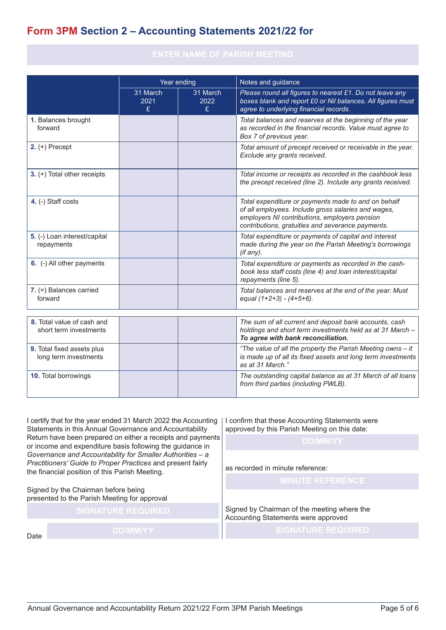## **Form 3PM Section 2 – Accounting Statements 2021/22 for**

|                                                      | Year ending           |                       | Notes and guidance                                                                                                                                                                                               |  |  |
|------------------------------------------------------|-----------------------|-----------------------|------------------------------------------------------------------------------------------------------------------------------------------------------------------------------------------------------------------|--|--|
|                                                      | 31 March<br>2021<br>£ | 31 March<br>2022<br>£ | Please round all figures to nearest £1. Do not leave any<br>boxes blank and report £0 or Nil balances. All figures must<br>agree to underlying financial records.                                                |  |  |
| 1. Balances brought<br>forward                       |                       |                       | Total balances and reserves at the beginning of the year<br>as recorded in the financial records. Value must agree to<br>Box 7 of previous year.                                                                 |  |  |
| $2. (+)$ Precept                                     |                       |                       | Total amount of precept received or receivable in the year.<br>Exclude any grants received.                                                                                                                      |  |  |
| 3. (+) Total other receipts                          |                       |                       | Total income or receipts as recorded in the cashbook less<br>the precept received (line 2). Include any grants received.                                                                                         |  |  |
| 4. (-) Staff costs                                   |                       |                       | Total expenditure or payments made to and on behalf<br>of all employees. Include gross salaries and wages,<br>employers NI contributions, employers pension<br>contributions, gratuities and severance payments. |  |  |
| 5. (-) Loan interest/capital<br>repayments           |                       |                       | Total expenditure or payments of capital and interest<br>made during the year on the Parish Meeting's borrowings<br>(if any).                                                                                    |  |  |
| 6. (-) All other payments                            |                       |                       | Total expenditure or payments as recorded in the cash-<br>book less staff costs (line 4) and loan interest/capital<br>repayments (line 5).                                                                       |  |  |
| 7. (=) Balances carried<br>forward                   |                       |                       | Total balances and reserves at the end of the year. Must<br>equal $(1+2+3) - (4+5+6)$ .                                                                                                                          |  |  |
| 8. Total value of cash and<br>short term investments |                       |                       | The sum of all current and deposit bank accounts, cash<br>holdings and short term investments held as at 31 March -<br>To agree with bank reconciliation.                                                        |  |  |
| 9. Total fixed assets plus<br>long term investments  |                       |                       | "The value of all the property the Parish Meeting owns - it<br>is made up of all its fixed assets and long term investments<br>as at 31 March."                                                                  |  |  |
| <b>10.</b> Total borrowings                          |                       |                       | The outstanding capital balance as at 31 March of all loans<br>from third parties (including PWLB).                                                                                                              |  |  |

I certify that for the year ended 31 March 2022 the Accounting Statements in this Annual Governance and Accountability Return have been prepared on either a receipts and payments or income and expenditure basis following the guidance in *Governance and Accountability for Smaller Authorities – a Practitioners' Guide to Proper Practices* and present fairly the financial position of this Parish Meeting.

Signed by the Chairman before being presented to the Parish Meeting for approval

Date

**SIGNATURE REQUIRED**

I confirm that these Accounting Statements were approved by this Parish Meeting on this date:

as recorded in minute reference:

**MINUTE REFERENCE**

Signed by Chairman of the meeting where the Accounting Statements were approved